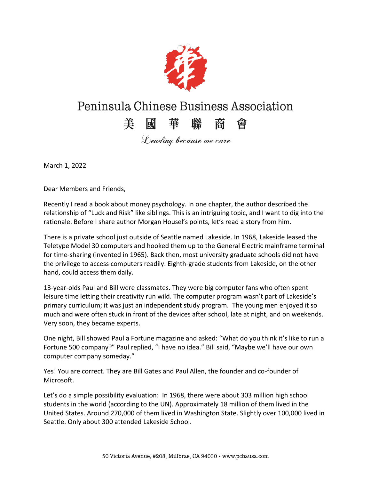

## Peninsula Chinese Business Association

## 美國華聯商會

Leading because we care

March 1, 2022

Dear Members and Friends,

Recently I read a book about money psychology. In one chapter, the author described the relationship of "Luck and Risk" like siblings. This is an intriguing topic, and I want to dig into the rationale. Before I share author Morgan Housel's points, let's read a story from him.

There is a private school just outside of Seattle named Lakeside. In 1968, Lakeside leased the Teletype Model 30 computers and hooked them up to the General Electric mainframe terminal for time-sharing (invented in 1965). Back then, most university graduate schools did not have the privilege to access computers readily. Eighth-grade students from Lakeside, on the other hand, could access them daily.

13-year-olds Paul and Bill were classmates. They were big computer fans who often spent leisure time letting their creativity run wild. The computer program wasn't part of Lakeside's primary curriculum; it was just an independent study program. The young men enjoyed it so much and were often stuck in front of the devices after school, late at night, and on weekends. Very soon, they became experts.

One night, Bill showed Paul a Fortune magazine and asked: "What do you think it's like to run a Fortune 500 company?" Paul replied, "I have no idea." Bill said, "Maybe we'll have our own computer company someday."

Yes! You are correct. They are Bill Gates and Paul Allen, the founder and co-founder of Microsoft.

Let's do a simple possibility evaluation: In 1968, there were about 303 million high school students in the world (according to the UN). Approximately 18 million of them lived in the United States. Around 270,000 of them lived in Washington State. Slightly over 100,000 lived in Seattle. Only about 300 attended Lakeside School.